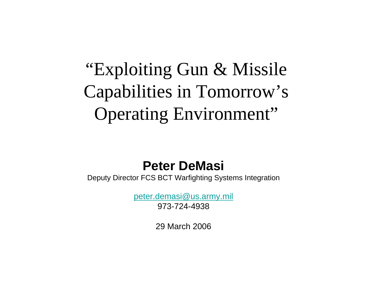### "Exploiting Gun & Missile Capabilities in Tomorrow's Operating Environment"

#### **Peter DeMasi**

Deputy Director FCS BCT Warfighting Systems Integration

peter.demasi@us.army.mil 973-724-4938

29 March 2006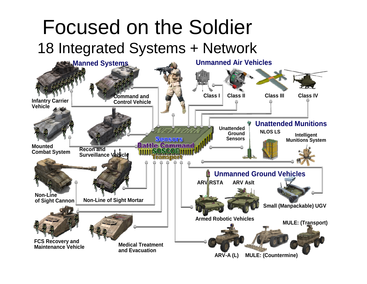#### Focused on the Soldier 18 Integrated Systems + Network

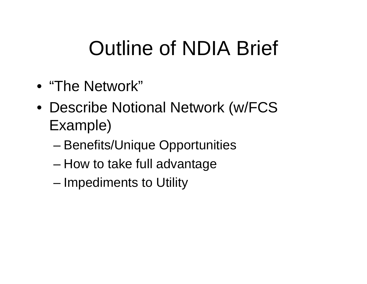# Outline of NDIA Brief

- "The Network"
- Describe Notional Network (w/FCS Example)
	- –Benefits/Unique Opportunities
	- –How to take full advantage
	- –Impediments to Utility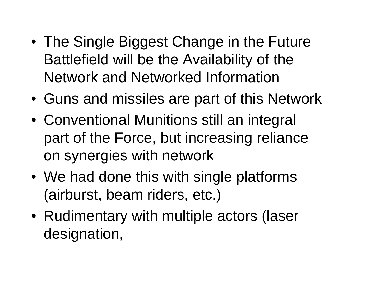- The Single Biggest Change in the Future Battlefield will be the Availability of the Network and Networked Information
- Guns and missiles are part of this Network
- Conventional Munitions still an integral part of the Force, but increasing reliance on synergies with network
- We had done this with single platforms (airburst, beam riders, etc.)
- Rudimentary with multiple actors (laser designation,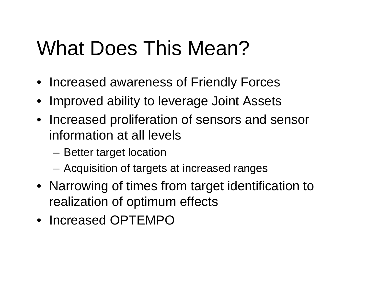# What Does This Mean?

- Increased awareness of Friendly Forces
- Improved ability to leverage Joint Assets
- Increased proliferation of sensors and sensor information at all levels
	- Better target location
	- Acquisition of targets at increased ranges
- Narrowing of times from target identification to realization of optimum effects
- Increased OPTEMPO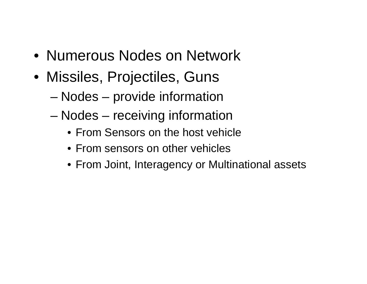- Numerous Nodes on Network
- Missiles, Projectiles, Guns
	- –Nodes – provide information
	- – Nodes – receiving information
		- From Sensors on the host vehicle
		- From sensors on other vehicles
		- From Joint, Interagency or Multinational assets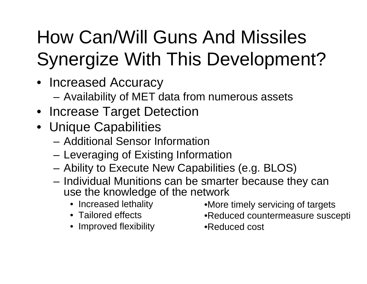# How Can/Will Guns And Missiles Synergize With This Development?

- Increased Accuracy
	- –Availability of MET data from numerous assets
- Increase Target Detection
- Unique Capabilities
	- Additional Sensor Information
	- Leveraging of Existing Information
	- Ability to Execute New Capabilities (e.g. BLOS)
	- Individual Munitions can be smarter because they can use the knowledge of the network
		- Increased lethality
		- Tailored effects
		- Improved flexibility
- •More timely servicing of targets
- •Reduced countermeasure suscepti
- •Reduced cost